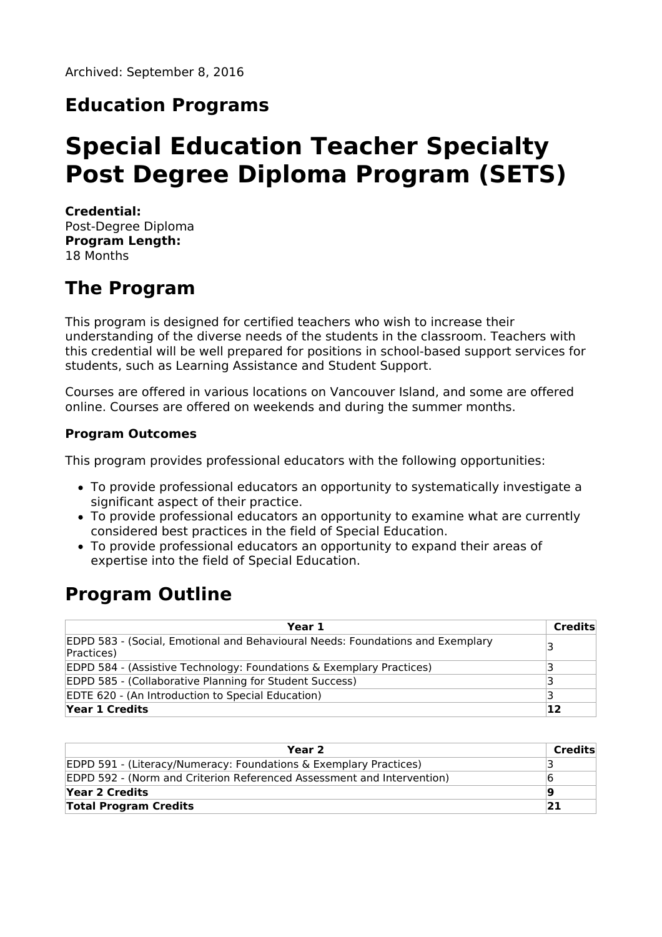### **Education Programs**

# **Special Education Teacher Specialty Post Degree Diploma Program (SETS)**

**Credential:** Post-Degree Diploma **Program Length:** 18 Months

# **The Program**

This program is designed for certified teachers who wish to increase their understanding of the diverse needs of the students in the classroom. Teachers with this credential will be well prepared for positions in school-based support services for students, such as Learning Assistance and Student Support.

Courses are offered in various locations on Vancouver Island, and some are offered online. Courses are offered on weekends and during the summer months.

#### **Program Outcomes**

This program provides professional educators with the following opportunities:

- To provide professional educators an opportunity to systematically investigate a significant aspect of their practice.
- To provide professional educators an opportunity to examine what are currently considered best practices in the field of Special Education.
- To provide professional educators an opportunity to expand their areas of expertise into the field of Special Education.

### **Program Outline**

| Year 1                                                                                              | Credits |
|-----------------------------------------------------------------------------------------------------|---------|
| <b>EDPD 583 - (Social, Emotional and Behavioural Needs: Foundations and Exemplary</b><br>Practices) | '3      |
| <b>EDPD 584 - (Assistive Technology: Foundations &amp; Exemplary Practices)</b>                     |         |
| <b>EDPD 585 - (Collaborative Planning for Student Success)</b>                                      |         |
| <b>EDTE 620 - (An Introduction to Special Education)</b>                                            |         |
| Year 1 Credits                                                                                      | 12      |

| Year 2                                                                 | Credits |
|------------------------------------------------------------------------|---------|
| EDPD 591 - (Literacy/Numeracy: Foundations & Exemplary Practices)      |         |
| EDPD 592 - (Norm and Criterion Referenced Assessment and Intervention) |         |
| Year 2 Credits                                                         | g       |
| <b>Total Program Credits</b>                                           | 21      |